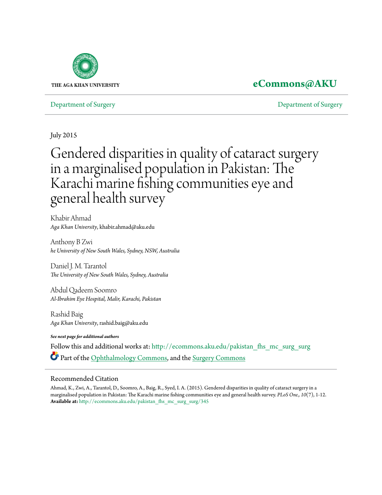

# **[eCommons@AKU](http://ecommons.aku.edu?utm_source=ecommons.aku.edu%2Fpakistan_fhs_mc_surg_surg%2F345&utm_medium=PDF&utm_campaign=PDFCoverPages)**

[Department of Surgery](http://ecommons.aku.edu/pakistan_fhs_mc_surg_surg?utm_source=ecommons.aku.edu%2Fpakistan_fhs_mc_surg_surg%2F345&utm_medium=PDF&utm_campaign=PDFCoverPages) [Department of Surgery](http://ecommons.aku.edu/pakistan_fhs_mc_surg?utm_source=ecommons.aku.edu%2Fpakistan_fhs_mc_surg_surg%2F345&utm_medium=PDF&utm_campaign=PDFCoverPages)

July 2015

# Gendered disparities in quality of cataract surgery in a marginalised population in Pakistan: The Karachi marine fishing communities eye and general health survey

Khabir Ahmad *Aga Khan University*, khabir.ahmad@aku.edu

Anthony B Zwi *he University of New South Wales, Sydney, NSW, Australia*

Daniel J. M. Tarantol *The University of New South Wales, Sydney, Australia*

Abdul Qadeem Soomro *Al-Ibrahim Eye Hospital, Malir, Karachi, Pakistan*

Rashid Baig *Aga Khan University*, rashid.baig@aku.edu

*See next page for additional authors*

Follow this and additional works at: [http://ecommons.aku.edu/pakistan\\_fhs\\_mc\\_surg\\_surg](http://ecommons.aku.edu/pakistan_fhs_mc_surg_surg?utm_source=ecommons.aku.edu%2Fpakistan_fhs_mc_surg_surg%2F345&utm_medium=PDF&utm_campaign=PDFCoverPages) Part of the [Ophthalmology Commons,](http://network.bepress.com/hgg/discipline/695?utm_source=ecommons.aku.edu%2Fpakistan_fhs_mc_surg_surg%2F345&utm_medium=PDF&utm_campaign=PDFCoverPages) and the [Surgery Commons](http://network.bepress.com/hgg/discipline/706?utm_source=ecommons.aku.edu%2Fpakistan_fhs_mc_surg_surg%2F345&utm_medium=PDF&utm_campaign=PDFCoverPages)

### Recommended Citation

Ahmad, K., Zwi, A., Tarantol, D., Soomro, A., Baig, R., Syed, I. A. (2015). Gendered disparities in quality of cataract surgery in a marginalised population in Pakistan: The Karachi marine fishing communities eye and general health survey. *PLoS One., 10*(7), 1-12. **Available at:** [http://ecommons.aku.edu/pakistan\\_fhs\\_mc\\_surg\\_surg/345](http://ecommons.aku.edu/pakistan_fhs_mc_surg_surg/345)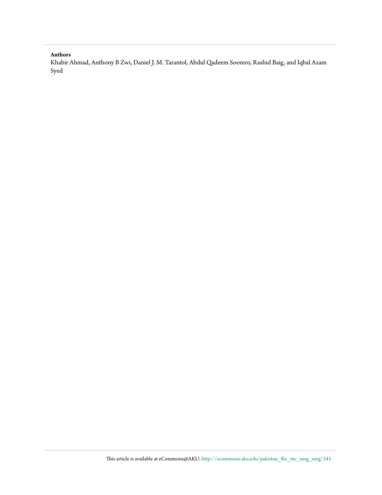#### **Authors**

Khabir Ahmad, Anthony B Zwi, Daniel J. M. Tarantol, Abdul Qadeem Soomro, Rashid Baig, and Iqbal Azam Syed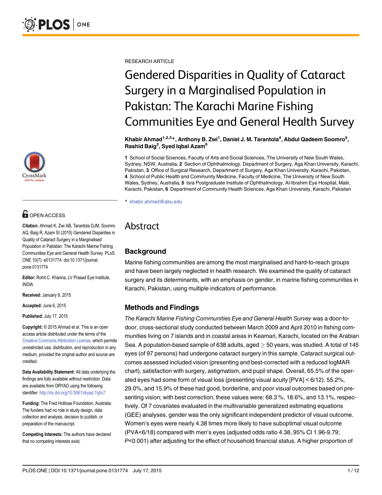

# **OPEN ACCESS**

Citation: Ahmad K, Zwi AB, Tarantola DJM, Soomro AQ, Baig R, Azam SI (2015) Gendered Disparities in Quality of Cataract Surgery in a Marginalised Population in Pakistan: The Karachi Marine Fishing Communities Eye and General Health Survey. PLoS ONE 10(7): e0131774. doi:10.1371/journal. pone.0131774

Editor: Rohit C. Khanna, LV Prasad Eye Institute, INDIA

Received: January 9, 2015

Accepted: June 6, 2015

Published: July 17, 2015

Copyright: © 2015 Ahmad et al. This is an open access article distributed under the terms of the [Creative Commons Attribution License,](http://creativecommons.org/licenses/by/4.0/) which permits unrestricted use, distribution, and reproduction in any medium, provided the original author and source are credited.

Data Availability Statement: All data underlying the findings are fully available without restriction. Data are available from DRYAD using the following identifier: <http://dx.doi.org/10.5061/dryad.7q5c7>

Funding: The Fred Hollows Foundation, Australia. The funders had no role in study design, data collection and analysis, decision to publish, or preparation of the manuscript.

Competing Interests: The authors have declared that no competing interests exist.

RESEARCH ARTICLE

# Gendered Disparities in Quality of Cataract Surgery in a Marginalised Population in Pakistan: The Karachi Marine Fishing Communities Eye and General Health Survey

Khabir Ahmad $^{1,2,3}$ \*, Anthony B. Zwi $^1$ , Daniel J. M. Tarantola $^4$ , Abdul Qadeem Soomro $^5$ , Rashid Baig<sup>2</sup>, Syed Iqbal Azam<sup>6</sup>

1 School of Social Sciences, Faculty of Arts and Social Sciences, The University of New South Wales, Sydney, NSW, Australia, 2 Section of Ophthalmology, Department of Surgery, Aga Khan University, Karachi, Pakistan, 3 Office of Surgical Research, Department of Surgery, Aga Khan University, Karachi, Pakistan, 4 School of Public Health and Community Medicine, Faculty of Medicine, The University of New South Wales, Sydney, Australia, 5 Isra Postgraduate Institute of Ophthalmology, Al-Ibrahim Eye Hospital, Malir, Karachi, Pakistan, 6 Department of Community Health Sciences, Aga Khan University, Karachi, Pakistan

\* khabir.ahmad@aku.edu

# Abstract

# **Background**

Marine fishing communities are among the most marginalised and hard-to-reach groups and have been largely neglected in health research. We examined the quality of cataract surgery and its determinants, with an emphasis on gender, in marine fishing communities in Karachi, Pakistan, using multiple indicators of performance.

# Methods and Findings

The Karachi Marine Fishing Communities Eye and General Health Survey was a door-todoor, cross-sectional study conducted between March 2009 and April 2010 in fishing communities living on 7 islands and in coastal areas in Keamari, Karachi, located on the Arabian Sea. A population-based sample of 638 adults, aged  $>$  50 years, was studied. A total of 145 eyes (of 97 persons) had undergone cataract surgery in this sample. Cataract surgical outcomes assessed included vision (presenting and best-corrected with a reduced logMAR chart), satisfaction with surgery, astigmatism, and pupil shape. Overall, 65.5% of the operated eyes had some form of visual loss (presenting visual acuity [PVA] < 6/12). 55.2%, 29.0%, and 15.9% of these had good, borderline, and poor visual outcomes based on presenting vision; with best correction, these values were: 68.3 %, 18.6%, and 13.1%, respectively. Of 7 covariates evaluated in the multivariable generalized estimating equations (GEE) analyses, gender was the only significant independent predictor of visual outcome. Women's eyes were nearly 4.38 times more likely to have suboptimal visual outcome (PVA<6/18) compared with men's eyes (adjusted odds ratio 4.38, 95% CI 1.96-9.79; P<0.001) after adjusting for the effect of household financial status. A higher proportion of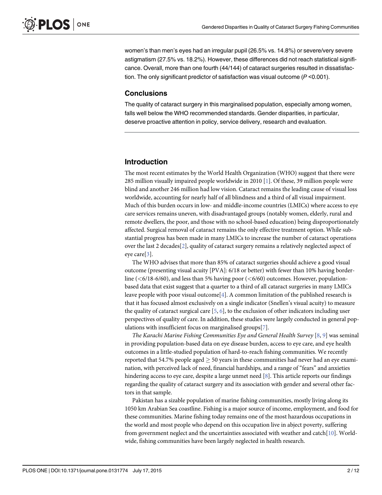<span id="page-3-0"></span>women's than men's eyes had an irregular pupil (26.5% vs. 14.8%) or severe/very severe astigmatism (27.5% vs. 18.2%). However, these differences did not reach statistical significance. Overall, more than one fourth (44/144) of cataract surgeries resulted in dissatisfaction. The only significant predictor of satisfaction was visual outcome (P <0.001).

#### **Conclusions**

The quality of cataract surgery in this marginalised population, especially among women, falls well below the WHO recommended standards. Gender disparities, in particular, deserve proactive attention in policy, service delivery, research and evaluation.

#### Introduction

The most recent estimates by the World Health Organization (WHO) suggest that there were 285 million visually impaired people worldwide in 2010 [[1](#page-13-0)]. Of these, 39 million people were blind and another 246 million had low vision. Cataract remains the leading cause of visual loss worldwide, accounting for nearly half of all blindness and a third of all visual impairment. Much of this burden occurs in low- and middle-income countries (LMICs) where access to eye care services remains uneven, with disadvantaged groups (notably women, elderly, rural and remote dwellers, the poor, and those with no school-based education) being disproportionately affected. Surgical removal of cataract remains the only effective treatment option. While substantial progress has been made in many LMICs to increase the number of cataract operations over the last 2 decades[\[2](#page-13-0)], quality of cataract surgery remains a relatively neglected aspect of eye care  $\lceil 3 \rceil$ .

The WHO advises that more than 85% of cataract surgeries should achieve a good visual outcome (presenting visual acuity [PVA]: 6/18 or better) with fewer than 10% having borderline ( $\lt$  6/18-6/60), and less than 5% having poor ( $\lt$  6/60) outcomes. However, populationbased data that exist suggest that a quarter to a third of all cataract surgeries in many LMICs leave people with poor visual outcome<sup>[[4\]](#page-13-0)</sup>. A common limitation of the published research is that it has focused almost exclusively on a single indicator (Snellen's visual acuity) to measure the quality of cataract surgical care  $[5, 6]$  $[5, 6]$  $[5, 6]$  $[5, 6]$ , to the exclusion of other indicators including user perspectives of quality of care. In addition, these studies were largely conducted in general populations with insufficient focus on marginalised groups[[7\]](#page-13-0).

The Karachi Marine Fishing Communities Eye and General Health Survey  $[8, 9]$  $[8, 9]$  $[8, 9]$  $[8, 9]$  was seminal in providing population-based data on eye disease burden, access to eye care, and eye health outcomes in a little-studied population of hard-to-reach fishing communities. We recently reported that 54.7% people aged  $\geq$  50 years in these communities had never had an eye examination, with perceived lack of need, financial hardships, and a range of "fears" and anxieties hindering access to eye care, despite a large unmet need [[8\]](#page-13-0). This article reports our findings regarding the quality of cataract surgery and its association with gender and several other factors in that sample.

Pakistan has a sizable population of marine fishing communities, mostly living along its 1050 km Arabian Sea coastline. Fishing is a major source of income, employment, and food for these communities. Marine fishing today remains one of the most hazardous occupations in the world and most people who depend on this occupation live in abject poverty, suffering from government neglect and the uncertainties associated with weather and catch[[10\]](#page-13-0). Worldwide, fishing communities have been largely neglected in health research.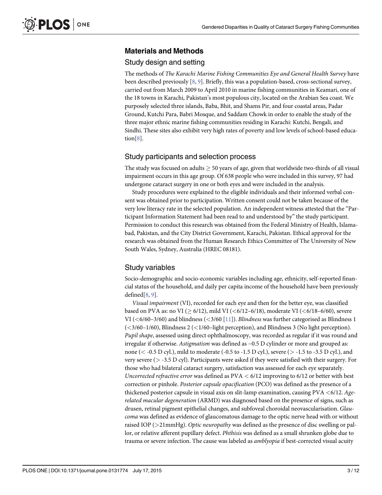# <span id="page-4-0"></span>Materials and Methods

# Study design and setting

The methods of The Karachi Marine Fishing Communities Eye and General Health Survey have been described previously  $[8, 9]$  $[8, 9]$  $[8, 9]$  $[8, 9]$ . Briefly, this was a population-based, cross-sectional survey, carried out from March 2009 to April 2010 in marine fishing communities in Keamari, one of the 18 towns in Karachi, Pakistan's most populous city, located on the Arabian Sea coast. We purposely selected three islands, Baba, Bhit, and Shams Pir, and four coastal areas, Padar Ground, Kutchi Para, Babri Mosque, and Saddam Chowk in order to enable the study of the three major ethnic marine fishing communities residing in Karachi: Kutchi, Bengali, and Sindhi. These sites also exhibit very high rates of poverty and low levels of school-based education[[8](#page-13-0)].

# Study participants and selection process

The study was focused on adults  $\geq$  50 years of age, given that worldwide two-thirds of all visual impairment occurs in this age group. Of 638 people who were included in this survey, 97 had undergone cataract surgery in one or both eyes and were included in the analysis.

Study procedures were explained to the eligible individuals and their informed verbal consent was obtained prior to participation. Written consent could not be taken because of the very low literacy rate in the selected population. An independent witness attested that the "Participant Information Statement had been read to and understood by" the study participant. Permission to conduct this research was obtained from the Federal Ministry of Health, Islamabad, Pakistan, and the City District Government, Karachi, Pakistan. Ethical approval for the research was obtained from the Human Research Ethics Committee of The University of New South Wales, Sydney, Australia (HREC 08181).

# Study variables

Socio-demographic and socio-economic variables including age, ethnicity, self-reported financial status of the household, and daily per capita income of the household have been previously defined[\[8,](#page-13-0) [9](#page-13-0)].

Visual impairment (VI), recorded for each eye and then for the better eye, was classified based on PVA as: no VI ( $\geq 6/12$ ), mild VI ( $\lt 6/12-6/18$ ), moderate VI ( $\lt 6/18-6/60$ ), severe VI ( $\leq 6/60-3/60$ ) and blindness ( $\leq 3/60$  [\[11\]](#page-13-0)). *Blindness* was further categorised as Blindness 1  $\left( \langle \langle 3/60 - 1/60 \rangle, \langle 8 \rangle \right)$  Blindness 2 ( $\langle 1/60 - 1 \rangle$  experise 1), and Blindness 3 (No light perception). Pupil shape, assessed using direct ophthalmoscopy, was recorded as regular if it was round and irregular if otherwise. Astigmatism was defined as −0.5 D cylinder or more and grouped as: none ( $<$  -0.5 D cyl.), mild to moderate (-0.5 to -1.5 D cyl.), severe ( $>$  -1.5 to -3.5 D cyl.), and very severe (> -3.5 D cyl). Participants were asked if they were satisfied with their surgery. For those who had bilateral cataract surgery, satisfaction was assessed for each eye separately. Uncorrected refractive error was defined as  $PVA < 6/12$  improving to  $6/12$  or better with best correction or pinhole. Posterior capsule opacification (PCO) was defined as the presence of a thickened posterior capsule in visual axis on slit-lamp examination, causing  $PVA < 6/12$ . Agerelated macular degeneration (ARMD) was diagnosed based on the presence of signs, such as drusen, retinal pigment epithelial changes, and subfoveal choroidal neovascularisation. Glaucoma was defined as evidence of glaucomatous damage to the optic nerve head with or without raised IOP (>21mmHg). Optic neuropathy was defined as the presence of disc swelling or pallor, or relative afferent pupillary defect. Phthisis was defined as a small shrunken globe due to trauma or severe infection. The cause was labeled as *amblyopia* if best-corrected visual acuity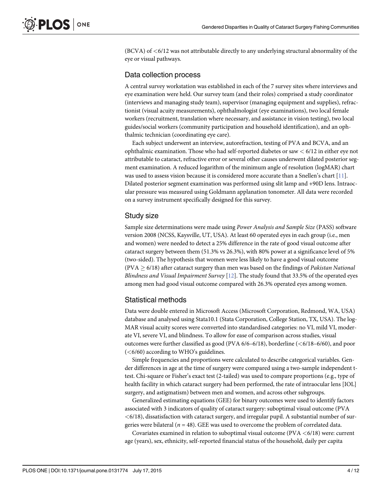<span id="page-5-0"></span>(BCVA) of <6/12 was not attributable directly to any underlying structural abnormality of the eye or visual pathways.

#### Data collection process

A central survey workstation was established in each of the 7 survey sites where interviews and eye examination were held. Our survey team (and their roles) comprised a study coordinator (interviews and managing study team), supervisor (managing equipment and supplies), refractionist (visual acuity measurements), ophthalmologist (eye examinations), two local female workers (recruitment, translation where necessary, and assistance in vision testing), two local guides/social workers (community participation and household identification), and an ophthalmic technician (coordinating eye care).

Each subject underwent an interview, autorefraction, testing of PVA and BCVA, and an ophthalmic examination. Those who had self-reported diabetes or saw  $< 6/12$  in either eye not attributable to cataract, refractive error or several other causes underwent dilated posterior segment examination. A reduced logarithm of the minimum angle of resolution (logMAR) chart was used to assess vision because it is considered more accurate than a Snellen's chart  $[11]$ . Dilated posterior segment examination was performed using slit lamp and +90D lens. Intraocular pressure was measured using Goldmann applanation tonometer. All data were recorded on a survey instrument specifically designed for this survey.

#### Study size

Sample size determinations were made using Power Analysis and Sample Size (PASS) software version 2008 (NCSS, Kaysville, UT, USA). At least 60 operated eyes in each group (i.e., men and women) were needed to detect a 25% difference in the rate of good visual outcome after cataract surgery between them (51.3% vs 26.3%), with 80% power at a significance level of 5% (two-sided). The hypothesis that women were less likely to have a good visual outcome (PVA  $\geq$  6/18) after cataract surgery than men was based on the findings of *Pakistan National* Blindness and Visual Impairment Survey  $[12]$  $[12]$  $[12]$ . The study found that 33.5% of the operated eyes among men had good visual outcome compared with 26.3% operated eyes among women.

#### Statistical methods

Data were double entered in Microsoft Access (Microsoft Corporation, Redmond, WA, USA) database and analysed using Stata10.1 (Stata Corporation, College Station, TX, USA). The log-MAR visual acuity scores were converted into standardised categories: no VI, mild VI, moderate VI, severe VI, and blindness. To allow for ease of comparison across studies, visual outcomes were further classified as good (PVA 6/6-6/18), borderline (<6/18-6/60), and poor  $( $6/60$ ) according to WHO's guidelines.$ 

Simple frequencies and proportions were calculated to describe categorical variables. Gender differences in age at the time of surgery were compared using a two-sample independent ttest. Chi-square or Fisher's exact test (2-tailed) was used to compare proportions (e.g., type of health facility in which cataract surgery had been performed, the rate of intraocular lens [IOL] surgery, and astigmatism) between men and women, and across other subgroups.

Generalized estimating equations (GEE) for binary outcomes were used to identify factors associated with 3 indicators of quality of cataract surgery: suboptimal visual outcome (PVA  $<$  6/18), dissatisfaction with cataract surgery, and irregular pupil. A substantial number of surgeries were bilateral ( $n = 48$ ). GEE was used to overcome the problem of correlated data.

Covariates examined in relation to suboptimal visual outcome (PVA  $\lt$  6/18) were: current age (years), sex, ethnicity, self-reported financial status of the household, daily per capita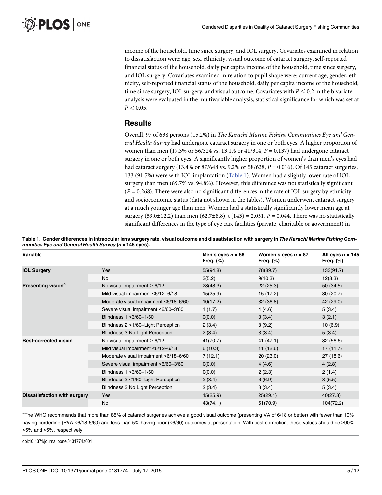<span id="page-6-0"></span>income of the household, time since surgery, and IOL surgery. Covariates examined in relation to dissatisfaction were: age, sex, ethnicity, visual outcome of cataract surgery, self-reported financial status of the household, daily per capita income of the household, time since surgery, and IOL surgery. Covariates examined in relation to pupil shape were: current age, gender, ethnicity, self-reported financial status of the household, daily per capita income of the household, time since surgery, IOL surgery, and visual outcome. Covariates with  $P \le 0.2$  in the bivariate analysis were evaluated in the multivariable analysis, statistical significance for which was set at  $P < 0.05$ .

#### **Results**

Overall, 97 of 638 persons (15.2%) in The Karachi Marine Fishing Communities Eye and General Health Survey had undergone cataract surgery in one or both eyes. A higher proportion of women than men (17.3% or 56/324 vs. 13.1% or 41/314,  $P = 0.137$ ) had undergone cataract surgery in one or both eyes. A significantly higher proportion of women's than men's eyes had had cataract surgery (13.4% or 87/648 vs. 9.2% or 58/628,  $P = 0.016$ ). Of 145 cataract surgeries, 133 (91.7%) were with IOL implantation (Table 1). Women had a slightly lower rate of IOL surgery than men (89.7% vs. 94.8%). However, this difference was not statistically significant  $(P = 0.268)$ . There were also no significant differences in the rate of IOL surgery by ethnicity and socioeconomic status (data not shown in the tables). Women underwent cataract surgery at a much younger age than men. Women had a statistically significantly lower mean age at surgery (59.0±12.2) than men (62.7±8.8), t (143) = 2.031,  $P = 0.044$ . There was no statistically significant differences in the type of eye care facilities (private, charitable or government) in

| Variable                       |                                       | Men's eyes $n = 58$<br>Freq. $(\%)$ | Women's eyes $n = 87$<br>Freq. $(\%)$ | All eyes $n = 145$<br>Freq. $(\%)$ |
|--------------------------------|---------------------------------------|-------------------------------------|---------------------------------------|------------------------------------|
| <b>IOL Surgery</b>             | Yes                                   | 55(94.8)                            | 78(89.7)                              | 133(91.7)                          |
|                                | No                                    | 3(5.2)                              | 9(10.3)                               | 12(8.3)                            |
| Presenting vision <sup>a</sup> | No visual impairment $> 6/12$         | 28(48.3)                            | 22(25.3)                              | 50(34.5)                           |
|                                | Mild visual impairment <6/12-6/18     | 15(25.9)                            | 15 (17.2)                             | 30(20.7)                           |
|                                | Moderate visual impairment <6/18-6/60 | 10(17.2)                            | 32(36.8)                              | 42 (29.0)                          |
|                                | Severe visual impairment <6/60-3/60   | 1(1.7)                              | 4(4.6)                                | 5(3.4)                             |
|                                | Blindness 1 < 3/60-1/60               | 0(0.0)                              | 3(3.4)                                | 3(2.1)                             |
|                                | Blindness 2 <1/60-Light Perception    | 2(3.4)                              | 8(9.2)                                | 10(6.9)                            |
|                                | Blindness 3 No Light Perception       | 2(3.4)                              | 3(3.4)                                | 5(3.4)                             |
| <b>Best-corrected vision</b>   | No visual impairment $\geq 6/12$      | 41(70.7)                            | 41 (47.1)                             | 82 (56.6)                          |
|                                | Mild visual impairment <6/12-6/18     | 6(10.3)                             | 11(12.6)                              | 17(11.7)                           |
|                                | Moderate visual impairment <6/18-6/60 | 7(12.1)                             | 20(23.0)                              | 27 (18.6)                          |
|                                | Severe visual impairment <6/60-3/60   | 0(0.0)                              | 4(4.6)                                | 4(2.8)                             |
|                                | Blindness 1 < 3/60 - 1/60             | 0(0.0)                              | 2(2.3)                                | 2(1.4)                             |
|                                | Blindness 2 <1/60-Light Perception    | 2(3.4)                              | 6(6.9)                                | 8(5.5)                             |
|                                | Blindness 3 No Light Perception       | 2(3.4)                              | 3(3.4)                                | 5(3.4)                             |
| Dissatisfaction with surgery   | Yes                                   | 15(25.9)                            | 25(29.1)                              | 40(27.8)                           |
|                                | No                                    | 43(74.1)                            | 61(70.9)                              | 104(72.2)                          |

Table 1. Gender differences in intraocular lens surgery rate, visual outcome and dissatisfaction with surgery in The Karachi Marine Fishing Communities Eye and General Health Survey (n = 145 eyes).

a<br>The WHO recommends that more than 85% of cataract surgeries achieve a good visual outcome (presenting VA of 6/18 or better) with fewer than 10% having borderline (PVA <6/18-6/60) and less than 5% having poor (<6/60) outcomes at presentation. With best correction, these values should be >90%, <5% and <5%, respectively

doi:10.1371/journal.pone.0131774.t001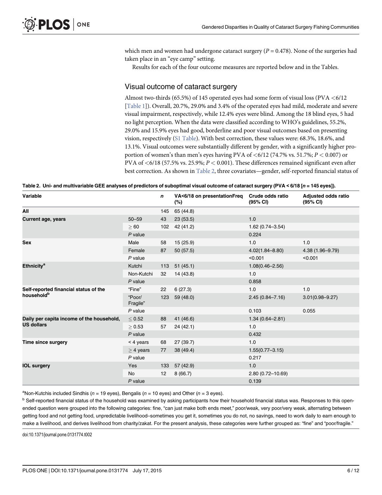which men and women had undergone cataract surgery ( $P = 0.478$ ). None of the surgeries had taken place in an "eye camp" setting.

Results for each of the four outcome measures are reported below and in the Tables.

#### Visual outcome of cataract surgery

Almost two-thirds (65.5%) of 145 operated eyes had some form of visual loss (PVA  $\lt$  6/12 [\[Table 1\]](#page-6-0)). Overall, 20.7%, 29.0% and 3.4% of the operated eyes had mild, moderate and severe visual impairment, respectively, while 12.4% eyes were blind. Among the 18 blind eyes, 5 had no light perception. When the data were classified according to WHO's guidelines, 55.2%, 29.0% and 15.9% eyes had good, borderline and poor visual outcomes based on presenting vision, respectively [\(S1 Table](#page-12-0)). With best correction, these values were: 68.3%, 18.6%, and 13.1%. Visual outcomes were substantially different by gender, with a significantly higher proportion of women's than men's eyes having PVA of  $\lt 6/12$  (74.7% vs. 51.7%;  $P \lt 0.007$ ) or PVA of  $\lt$ 6/18 (57.5% vs. 25.9%;  $P \lt$  0.001). These differences remained significant even after best correction. As shown in Table 2, three covariates—gender, self-reported financial status of

| Table 2. Uni- and multivariable GEE analyses of predictors of suboptimal visual outcome of cataract surgery (PVA < 6/18 [n = 145 eyes]). |  |  |  |
|------------------------------------------------------------------------------------------------------------------------------------------|--|--|--|
|                                                                                                                                          |  |  |  |

| Variable                                  |                    | n               | VA<6/18 on presentationFreq<br>$(\%)$ | Crude odds ratio<br>(95% CI) | <b>Adjusted odds ratio</b><br>(95% CI) |
|-------------------------------------------|--------------------|-----------------|---------------------------------------|------------------------------|----------------------------------------|
| All                                       |                    | 145             | 65 (44.8)                             |                              |                                        |
| <b>Current age, years</b>                 | $50 - 59$          | 43              | 23(53.5)                              | 1.0                          |                                        |
|                                           | >60                |                 | 102 42 (41.2)                         | $1.62(0.74 - 3.54)$          |                                        |
|                                           | $P$ value          |                 |                                       | 0.224                        |                                        |
| <b>Sex</b>                                | Male               | 58              | 15(25.9)                              | 1.0                          | 1.0                                    |
|                                           | Female             | 87              | 50(57.5)                              | $4.02(1.84 - 8.80)$          | 4.38 (1.96-9.79)                       |
|                                           | $P$ value          |                 |                                       | < 0.001                      | < 0.001                                |
| <b>Ethnicity<sup>a</sup></b>              | Kutchi             |                 | 113 51 (45.1)                         | $1.08(0.46 - 2.56)$          |                                        |
|                                           | Non-Kutchi         | 32              | 14 (43.8)                             | 1.0                          |                                        |
|                                           | $P$ value          |                 |                                       | 0.858                        |                                        |
| Self-reported financial status of the     | "Fine"             | 22              | 6(27.3)                               | 1.0                          | 1.0                                    |
| household <sup>b</sup>                    | "Poor/<br>Fragile" |                 | 123 59 (48.0)                         | $2.45(0.84 - 7.16)$          | $3.01(0.98 - 9.27)$                    |
|                                           | $P$ value          |                 |                                       | 0.103                        | 0.055                                  |
| Daily per capita income of the household, | < 0.52             | 88              | 41 (46.6)                             | $1.34(0.64 - 2.81)$          |                                        |
| <b>US dollars</b>                         | > 0.53             | 57              | 24(42.1)                              | 1.0                          |                                        |
|                                           | $P$ value          |                 |                                       | 0.432                        |                                        |
| Time since surgery                        | $<$ 4 years        | 68              | 27 (39.7)                             | 1.0                          |                                        |
|                                           | $\geq$ 4 years     | 77              | 38 (49.4)                             | $1.55(0.77 - 3.15)$          |                                        |
|                                           | $P$ value          |                 |                                       | 0.217                        |                                        |
| <b>IOL surgery</b>                        | Yes                |                 | 133 57 (42.9)                         | 1.0                          |                                        |
|                                           | <b>No</b>          | 12 <sup>2</sup> | 8(66.7)                               | 2.80 (0.72-10.69)            |                                        |
|                                           | $P$ value          |                 |                                       | 0.139                        |                                        |

<sup>a</sup>Non-Kutchis included Sindhis (n = 19 eyes), Bengalis (n = 10 eyes) and Other (n = 3 eyes).

<sup>b</sup> Self-reported financial status of the household was examined by asking participants how their household financial status was. Responses to this openended question were grouped into the following categories: fine, "can just make both ends meet," poor/weak, very poor/very weak, alternating between getting food and not getting food, unpredictable livelihood–sometimes you get it, sometimes you do not, no savings, need to work daily to earn enough to make a livelihood, and derives livelihood from charity/zakat. For the present analysis, these categories were further grouped as: "fine" and "poor/fragile."

doi:10.1371/journal.pone.0131774.t002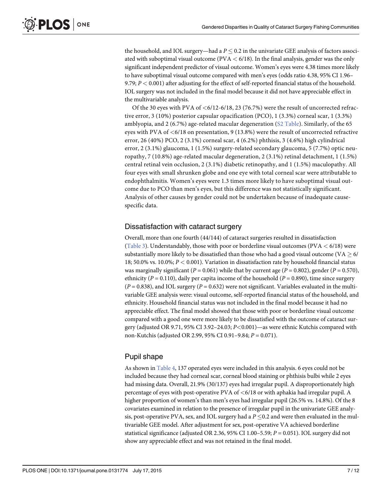<span id="page-8-0"></span>the household, and IOL surgery—had a  $P \le 0.2$  in the univariate GEE analysis of factors associated with suboptimal visual outcome (PVA  $<$  6/18). In the final analysis, gender was the only significant independent predictor of visual outcome. Women's eyes were 4.38 times more likely to have suboptimal visual outcome compared with men's eyes (odds ratio 4.38, 95% CI 1.96– 9.79;  $P < 0.001$ ) after adjusting for the effect of self-reported financial status of the household. IOL surgery was not included in the final model because it did not have appreciable effect in the multivariable analysis.

Of the 30 eyes with PVA of  $\leq 6/12$ -6/18, 23 (76.7%) were the result of uncorrected refractive error, 3 (10%) posterior capsular opacification (PCO), 1 (3.3%) corneal scar, 1 (3.3%) amblyopia, and 2 (6.7%) age-related macular degeneration ( $S2$  Table). Similarly, of the 65 eyes with PVA of <6/18 on presentation, 9 (13.8%) were the result of uncorrected refractive error, 26 (40%) PCO, 2 (3.1%) corneal scar, 4 (6.2%) phthisis, 3 (4.6%) high cylindrical error, 2 (3.1%) glaucoma, 1 (1.5%) surgery-related secondary glaucoma, 5 (7.7%) optic neuropathy, 7 (10.8%) age-related macular degeneration, 2 (3.1%) retinal detachment, 1 (1.5%) central retinal vein occlusion, 2 (3.1%) diabetic retinopathy, and 1 (1.5%) maculopathy. All four eyes with small shrunken globe and one eye with total corneal scar were attributable to endophthalmitis. Women's eyes were 1.3 times more likely to have suboptimal visual outcome due to PCO than men's eyes, but this difference was not statistically significant. Analysis of other causes by gender could not be undertaken because of inadequate causespecific data.

#### Dissatisfaction with cataract surgery

Overall, more than one fourth (44/144) of cataract surgeries resulted in dissatisfaction [\(Table 3\)](#page-9-0). Understandably, those with poor or borderline visual outcomes (PVA  $<$  6/18) were substantially more likely to be dissatisfied than those who had a good visual outcome (VA  $\geq$  6/ 18; 50.0% vs. 10.0%;  $P < 0.001$ ). Variation in dissatisfaction rate by household financial status was marginally significant ( $P = 0.061$ ) while that by current age ( $P = 0.802$ ), gender ( $P = 0.570$ ), ethnicity ( $P = 0.110$ ), daily per capita income of the household ( $P = 0.890$ ), time since surgery  $(P = 0.838)$ , and IOL surgery  $(P = 0.632)$  were not significant. Variables evaluated in the multivariable GEE analysis were: visual outcome, self-reported financial status of the household, and ethnicity. Household financial status was not included in the final model because it had no appreciable effect. The final model showed that those with poor or borderline visual outcome compared with a good one were more likely to be dissatisfied with the outcome of cataract surgery (adjusted OR 9.71, 95% CI 3.92–24.03; P<0.001)—as were ethnic Kutchis compared with non-Kutchis (adjusted OR 2.99, 95% CI 0.91–9.84; P = 0.071).

#### Pupil shape

As shown in [Table 4,](#page-10-0) 137 operated eyes were included in this analysis. 6 eyes could not be included because they had corneal scar, corneal blood staining or phthisis bulbi while 2 eyes had missing data. Overall, 21.9% (30/137) eyes had irregular pupil. A disproportionately high percentage of eyes with post-operative PVA of <6/18 or with aphakia had irregular pupil. A higher proportion of women's than men's eyes had irregular pupil (26.5% vs. 14.8%). Of the 8 covariates examined in relation to the presence of irregular pupil in the univariate GEE analysis, post-operative PVA, sex, and IOL surgery had a  $P \le 0.2$  and were then evaluated in the multivariable GEE model. After adjustment for sex, post-operative VA achieved borderline statistical significance (adjusted OR 2.36, 95% CI 1.00-5.59;  $P = 0.051$ ). IOL surgery did not show any appreciable effect and was not retained in the final model.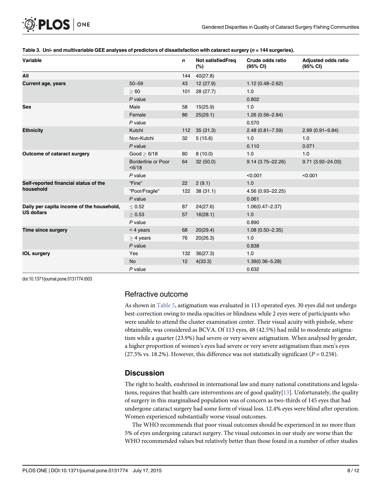| Variable                                  |                              | $\mathbf n$ | <b>Not satisfiedFreq</b><br>(%) | Crude odds ratio<br>(95% CI) | Adjusted odds ratio<br>(95% CI) |
|-------------------------------------------|------------------------------|-------------|---------------------------------|------------------------------|---------------------------------|
| All                                       |                              | 144         | 40(27.8)                        |                              |                                 |
| <b>Current age, years</b>                 | $50 - 59$                    | 43          | 12 (27.9)                       | $1.12(0.48 - 2.62)$          |                                 |
|                                           | >60                          | 101         | 28(27.7)                        | 1.0                          |                                 |
|                                           | $P$ value                    |             |                                 | 0.802                        |                                 |
| <b>Sex</b>                                | Male                         | 58          | 15(25.9)                        | 1.0                          |                                 |
|                                           | Female                       | 86          | 25(29.1)                        | $1.26(0.56 - 2.84)$          |                                 |
|                                           | $P$ value                    |             |                                 | 0.570                        |                                 |
| <b>Ethnicity</b>                          | Kutchi                       |             | 112 35 (31.3)                   | $2.48(0.81 - 7.59)$          | $2.99(0.91 - 9.84)$             |
|                                           | Non-Kutchi                   | 32          | 5(15.6)                         | 1.0                          | 1.0                             |
|                                           | $P$ value                    |             |                                 | 0.110                        | 0.071                           |
| Outcome of cataract surgery               | Good $\geq 6/18$             | 80          | 8(10.0)                         | 1.0                          | 1.0                             |
|                                           | Borderline or Poor<br>< 6/18 | 64          | 32(50.0)                        | $9.14(3.75 - 22.26)$         | $9.71(3.92 - 24.03)$            |
|                                           | $P$ value                    |             |                                 | < 0.001                      | < 0.001                         |
| Self-reported financial status of the     | "Fine"                       | 22          | 2(9.1)                          | 1.0                          |                                 |
| household                                 | "Poor/Fragile"               | 122         | 38(31.1)                        | 4.56 (0.93-22.25)            |                                 |
|                                           | $P$ value                    |             |                                 | 0.061                        |                                 |
| Daily per capita income of the household, | < 0.52                       | 87          | 24(27.6)                        | $1.06(0.47 - 2.37)$          |                                 |
| <b>US dollars</b>                         | > 0.53                       | 57          | 16(28.1)                        | 1.0                          |                                 |
|                                           | $P$ value                    |             |                                 | 0.890                        |                                 |
| <b>Time since surgery</b>                 | $<$ 4 years                  | 68          | 20(29.4)                        | $1.08(0.50 - 2.35)$          |                                 |
|                                           | $>$ 4 years                  | 76          | 20(26.3)                        | 1.0                          |                                 |
|                                           | $P$ value                    |             |                                 | 0.838                        |                                 |
| <b>IOL surgery</b>                        | Yes                          | 132         | 36(27.3)                        | 1.0                          |                                 |
|                                           | <b>No</b>                    | 12          | 4(33.3)                         | $1.39(0.36 - 5.28)$          |                                 |
|                                           | $P$ value                    |             |                                 | 0.632                        |                                 |

#### <span id="page-9-0"></span>[Table 3.](#page-8-0) Uni- and multivariable GEE analyses of predictors of dissatisfaction with cataract surgery ( $n = 144$  surgeries).

doi:10.1371/journal.pone.0131774.t003

# Refractive outcome

As shown in [Table 5,](#page-10-0) astigmatism was evaluated in 113 operated eyes. 30 eyes did not undergo best-correction owing to media opacities or blindness while 2 eyes were of participants who were unable to attend the cluster examination center. Their visual acuity with pinhole, where obtainable, was considered as BCVA. Of 113 eyes, 48 (42.5%) had mild to moderate astigmatism while a quarter (23.9%) had severe or very severe astigmatism. When analysed by gender, a higher proportion of women's eyes had severe or very severe astigmatism than men's eyes (27.5% vs. 18.2%). However, this difference was not statistically significant ( $P = 0.258$ ).

# **Discussion**

The right to health, enshrined in international law and many national constitutions and legislations, requires that health care interventions are of good quality $[13]$ . Unfortunately, the quality of surgery in this marginalised population was of concern as two-thirds of 145 eyes that had undergone cataract surgery had some form of visual loss. 12.4% eyes were blind after operation. Women experienced substantially worse visual outcomes.

The WHO recommends that poor visual outcomes should be experienced in no more than 5% of eyes undergoing cataract surgery. The visual outcomes in our study are worse than the WHO recommended values but relatively better than those found in a number of other studies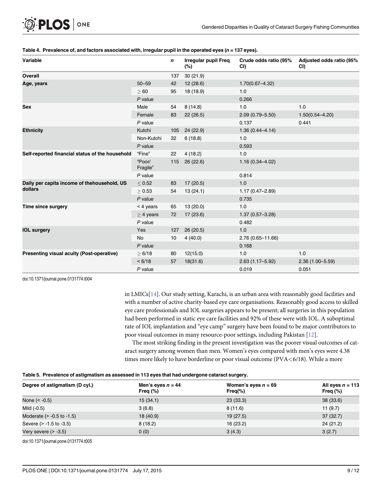| Variable                                        |                    | n   | <b>Irregular pupil Freq</b><br>(%) | Crude odds ratio (95%<br>CI) | Adjusted odds ratio (95%<br>CI) |
|-------------------------------------------------|--------------------|-----|------------------------------------|------------------------------|---------------------------------|
| Overall                                         |                    | 137 | 30(21.9)                           |                              |                                 |
| Age, years                                      | $50 - 59$          | 42  | 12(28.6)                           | $1.70(0.67 - 4.32)$          |                                 |
|                                                 | >60                | 95  | 18 (18.9)                          | 1.0                          |                                 |
|                                                 | $P$ value          |     |                                    | 0.266                        |                                 |
| <b>Sex</b>                                      | Male               | 54  | 8(14.8)                            | 1.0                          | 1.0                             |
|                                                 | Female             | 83  | 22(26.5)                           | $2.09(0.79 - 5.50)$          | $1.50(0.54 - 4.20)$             |
|                                                 | $P$ value          |     |                                    | 0.137                        | 0.441                           |
| <b>Ethnicity</b>                                | Kutchi             | 105 | 24 (22.9)                          | $1.36(0.44 - 4.14)$          |                                 |
|                                                 | Non-Kutchi         | 32  | 6(18.8)                            | 1.0                          |                                 |
|                                                 | $P$ value          |     |                                    | 0.593                        |                                 |
| Self-reported financial status of the household | "Fine"             | 22  | 4(18.2)                            | 1.0                          |                                 |
|                                                 | "Poor/<br>Fragile" | 115 | 26 (22.6)                          | $1.16(0.34 - 4.02)$          |                                 |
|                                                 | $P$ value          |     |                                    | 0.814                        |                                 |
| Daily per capita income of thehousehold, US     | < 0.52             | 83  | 17(20.5)                           | 1.0                          |                                 |
| dollars                                         | > 0.53             | 54  | 13(24.1)                           | $1.17(0.47 - 2.89)$          |                                 |
|                                                 | $P$ value          |     |                                    | 0.735                        |                                 |
| <b>Time since surgery</b>                       | $<$ 4 years        | 65  | 13(20.0)                           | 1.0                          |                                 |
|                                                 | $>$ 4 years        | 72  | 17 (23.6)                          | $1.37(0.57 - 3.28)$          |                                 |
|                                                 | $P$ value          |     |                                    | 0.482                        |                                 |
| <b>IOL surgery</b>                              | Yes                | 127 | 26(20.5)                           | 1.0                          |                                 |
|                                                 | No                 | 10  | 4(40.0)                            | 2.76 (0.65-11.66)            |                                 |
|                                                 | $P$ value          |     |                                    | 0.168                        |                                 |
| Presenting visual acuity (Post-operative)       | > 6/18             | 80  | 12(15.0)                           | 1.0                          | 1.0                             |
|                                                 | < 6/18             | 57  | 18(31.6)                           | $2.63(1.17 - 5.92)$          | $2.36(1.00 - 5.59)$             |
|                                                 | $P$ value          |     |                                    | 0.019                        | 0.051                           |

#### <span id="page-10-0"></span>[Table 4.](#page-8-0) Prevalence of, and factors associated with, irregular pupil in the operated eyes (n = 137 eyes).

doi:10.1371/journal.pone.0131774.t004

in LMICs[\[14\]](#page-13-0). Our study setting, Karachi, is an urban area with reasonably good facilities and with a number of active charity-based eye care organisations. Reasonably good access to skilled eye care professionals and IOL surgeries appears to be present; all surgeries in this population had been performed in static eye care facilities and 92% of these were with IOL. A suboptimal rate of IOL implantation and "eye camp" surgery have been found to be major contributors to poor visual outcomes in many resource-poor settings, including Pakistan [\[12\]](#page-13-0).

The most striking finding in the present investigation was the poorer visual outcomes of cataract surgery among women than men. Women's eyes compared with men's eyes were 4.38 times more likely to have borderline or poor visual outcome (PVA<6/18). While a more

#### [Table 5.](#page-9-0) Prevalence of astigmatism as assessed in 113 eyes that had undergone cataract surgery.

| Degree of astigmatism (D cyl.) | Men's eyes $n = 44$<br>Freq $(\%)$ | Women's eyes $n = 69$<br>$Freq$ %) | All eyes $n = 113$<br>Freq $(\%)$ |
|--------------------------------|------------------------------------|------------------------------------|-----------------------------------|
| None $(< -0.5)$                | 15(34.1)                           | 23(33.3)                           | 38 (33.6)                         |
| Mild (-0.5)                    | 3(6.8)                             | 8(11.6)                            | 11(9.7)                           |
| Moderate $(> -0.5$ to $-1.5)$  | 18(40.9)                           | 19(27.5)                           | 37(32.7)                          |
| Severe (> -1.5 to -3.5)        | 8(18.2)                            | 16 (23.2)                          | 24(21.2)                          |
| Very severe $(> -3.5)$         | 0(0)                               | 3(4.3)                             | 3(2.7)                            |

doi:10.1371/journal.pone.0131774.t005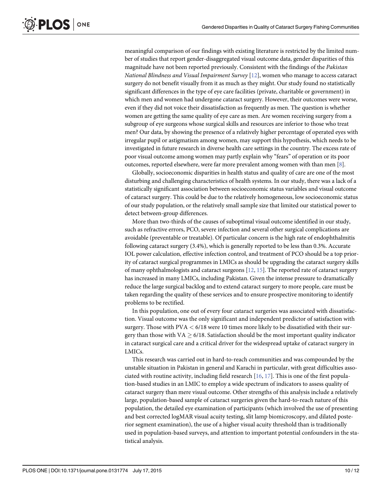<span id="page-11-0"></span>meaningful comparison of our findings with existing literature is restricted by the limited number of studies that report gender-disaggregated visual outcome data, gender disparities of this magnitude have not been reported previously. Consistent with the findings of the Pakistan National Blindness and Visual Impairment Survey  $[12]$  $[12]$  $[12]$ , women who manage to access cataract surgery do not benefit visually from it as much as they might. Our study found no statistically significant differences in the type of eye care facilities (private, charitable or government) in which men and women had undergone cataract surgery. However, their outcomes were worse, even if they did not voice their dissatisfaction as frequently as men. The question is whether women are getting the same quality of eye care as men. Are women receiving surgery from a subgroup of eye surgeons whose surgical skills and resources are inferior to those who treat men? Our data, by showing the presence of a relatively higher percentage of operated eyes with irregular pupil or astigmatism among women, may support this hypothesis, which needs to be investigated in future research in diverse health care settings in the country. The excess rate of poor visual outcome among women may partly explain why "fears" of operation or its poor outcomes, reported elsewhere, were far more prevalent among women with than men  $[8]$  $[8]$  $[8]$ .

Globally, socioeconomic disparities in health status and quality of care are one of the most disturbing and challenging characteristics of health systems. In our study, there was a lack of a statistically significant association between socioeconomic status variables and visual outcome of cataract surgery. This could be due to the relatively homogeneous, low socioeconomic status of our study population, or the relatively small sample size that limited our statistical power to detect between-group differences.

More than two-thirds of the causes of suboptimal visual outcome identified in our study, such as refractive errors, PCO, severe infection and several other surgical complications are avoidable (preventable or treatable). Of particular concern is the high rate of endophthalmitis following cataract surgery (3.4%), which is generally reported to be less than 0.3%. Accurate IOL power calculation, effective infection control, and treatment of PCO should be a top priority of cataract surgical programmes in LMICs as should be upgrading the cataract surgery skills of many ophthalmologists and cataract surgeons [[12](#page-13-0), [15](#page-13-0)]. The reported rate of cataract surgery has increased in many LMICs, including Pakistan. Given the intense pressure to dramatically reduce the large surgical backlog and to extend cataract surgery to more people, care must be taken regarding the quality of these services and to ensure prospective monitoring to identify problems to be rectified.

In this population, one out of every four cataract surgeries was associated with dissatisfaction. Visual outcome was the only significant and independent predictor of satisfaction with surgery. Those with  $PVA < 6/18$  were 10 times more likely to be dissatisfied with their surgery than those with  $VA \geq 6/18$ . Satisfaction should be the most important quality indicator in cataract surgical care and a critical driver for the widespread uptake of cataract surgery in LMICs.

This research was carried out in hard-to-reach communities and was compounded by the unstable situation in Pakistan in general and Karachi in particular, with great difficulties associated with routine activity, including field research [\[16,](#page-13-0) [17\]](#page-13-0). This is one of the first population-based studies in an LMIC to employ a wide spectrum of indicators to assess quality of cataract surgery than mere visual outcome. Other strengths of this analysis include a relatively large, population-based sample of cataract surgeries given the hard-to-reach nature of this population, the detailed eye examination of participants (which involved the use of presenting and best corrected logMAR visual acuity testing, slit lamp biomicroscopy, and dilated posterior segment examination), the use of a higher visual acuity threshold than is traditionally used in population-based surveys, and attention to important potential confounders in the statistical analysis.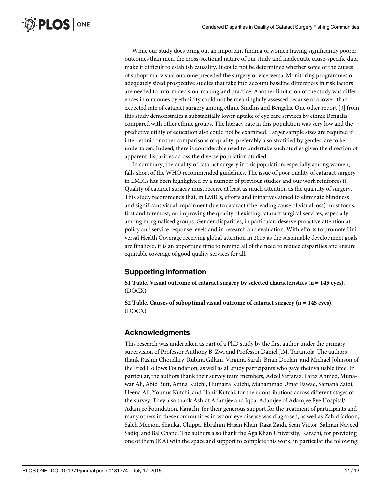<span id="page-12-0"></span>While our study does bring out an important finding of women having significantly poorer outcomes than men, the cross-sectional nature of our study and inadequate cause-specific data make it difficult to establish causality. It could not be determined whether some of the causes of suboptimal visual outcome preceded the surgery or vice-versa. Monitoring programmes or adequately sized prospective studies that take into account baseline differences in risk factors are needed to inform decision-making and practice. Another limitation of the study was differences in outcomes by ethnicity could not be meaningfully assessed because of a lower-thanexpected rate of cataract surgery among ethnic Sindhis and Bengalis. One other report [[9](#page-13-0)] from this study demonstrates a substantially lower uptake of eye care services by ethnic Bengalis compared with other ethnic groups. The literacy rate in this population was very low and the predictive utility of education also could not be examined. Larger sample sizes are required if inter-ethnic or other comparisons of quality, preferably also stratified by gender, are to be undertaken. Indeed, there is considerable need to undertake such studies given the direction of apparent disparities across the diverse population studied.

In summary, the quality of cataract surgery in this population, especially among women, falls short of the WHO recommended guidelines. The issue of poor quality of cataract surgery in LMICs has been highlighted by a number of previous studies and our work reinforces it. Quality of cataract surgery must receive at least as much attention as the quantity of surgery. This study recommends that, in LMICs, efforts and initiatives aimed to eliminate blindness and significant visual impairment due to cataract (the leading cause of visual loss) must focus, first and foremost, on improving the quality of existing cataract surgical services, especially among marginalised groups. Gender disparities, in particular, deserve proactive attention at policy and service response levels and in research and evaluation. With efforts to promote Universal Health Coverage receiving global attention in 2015 as the sustainable development goals are finalized, it is an opportune time to remind all of the need to reduce disparities and ensure equitable coverage of good quality services for all.

# Supporting Information

[S1 Table](http://www.plosone.org/article/fetchSingleRepresentation.action?uri=info:doi/10.1371/journal.pone.0131774.s001). Visual outcome of cataract surgery by selected characteristics  $(n = 145 \text{ eyes})$ . (DOCX)

[S2 Table](http://www.plosone.org/article/fetchSingleRepresentation.action?uri=info:doi/10.1371/journal.pone.0131774.s002). Causes of suboptimal visual outcome of cataract surgery (n = 145 eyes). (DOCX)

### Acknowledgments

This research was undertaken as part of a PhD study by the first author under the primary supervision of Professor Anthony B. Zwi and Professor Daniel J.M. Tarantola. The authors thank Rashin Choudhry, Rubina Gillani, Virginia Sarah, Brian Doolan, and Michael Johnson of the Fred Hollows Foundation, as well as all study participants who gave their valuable time. In particular, the authors thank their survey team members, Adeel Sarfaraz, Faraz Ahmed, Munawar Ali, Abid Butt, Amna Kutchi, Humaira Kutchi, Muhammad Umar Fawad, Samana Zaidi, Heena Ali, Younus Kutchi, and Hanif Kutchi, for their contributions across different stages of the survey. They also thank Ashraf Adamjee and Iqbal Adamjee of Adamjee Eye Hospital/ Adamjee Foundation, Karachi, for their generous support for the treatment of participants and many others in these communities in whom eye disease was diagnosed, as well as Zahid Jadoon, Saleh Memon, Shaukat Chippa, Ebrahim Hasan Khan, Raza Zaidi, Sean Victor, Salman Naveed Sadiq, and Bal Chand. The authors also thank the Aga Khan University, Karachi, for providing one of them (KA) with the space and support to complete this work, in particular the following: